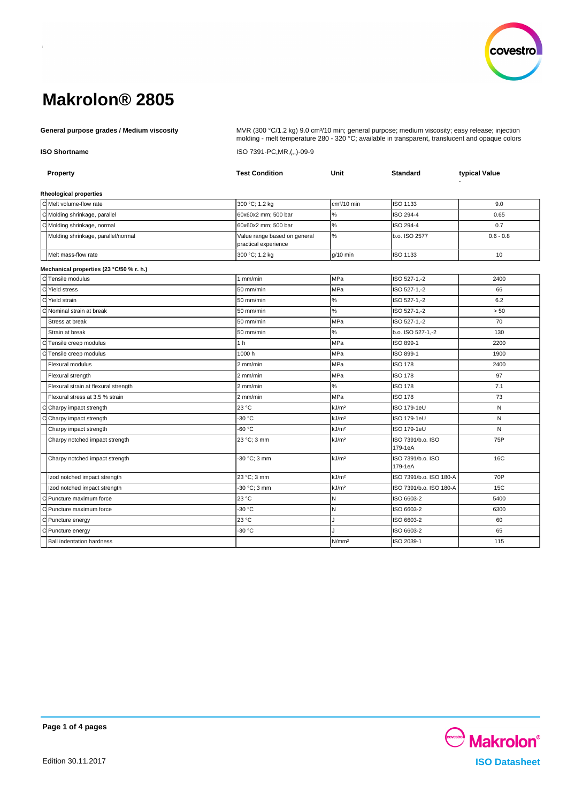

General purpose grades / Medium viscosity **Mullam Company ACC** MUR (300 °C/1.2 kg) 9.0 cm<sup>3</sup>/10 min; general purpose; medium viscosity; easy release; injection molding - melt temperature 280 - 320 °C; available in transparent, translucent and opaque colors **ISO Shortname** ISO 7391-PC,MR,(,,)-09-9

| <b>Property</b>                          | <b>Test Condition</b>                                | Unit              | <b>Standard</b>              | typical Value |
|------------------------------------------|------------------------------------------------------|-------------------|------------------------------|---------------|
| <b>Rheological properties</b>            |                                                      |                   |                              |               |
| C Melt volume-flow rate                  | 300 °C; 1.2 kg                                       | $cm3/10$ min      | <b>ISO 1133</b>              | 9.0           |
| C Molding shrinkage, parallel            | 60x60x2 mm; 500 bar                                  | $\%$              | ISO 294-4                    | 0.65          |
| C Molding shrinkage, normal              | 60x60x2 mm; 500 bar                                  | $\%$              | ISO 294-4                    | 0.7           |
| Molding shrinkage, parallel/normal       | Value range based on general<br>practical experience | %                 | b.o. ISO 2577                | $0.6 - 0.8$   |
| Melt mass-flow rate                      | 300 °C; 1.2 kg                                       | $g/10$ min        | ISO 1133                     | 10            |
| Mechanical properties (23 °C/50 % r. h.) |                                                      |                   |                              |               |
| CTensile modulus                         | $1$ mm/min                                           | MPa               | ISO 527-1,-2                 | 2400          |
| C Yield stress                           | 50 mm/min                                            | MPa               | ISO 527-1,-2                 | 66            |
| C Yield strain                           | 50 mm/min                                            | $\%$              | ISO 527-1,-2                 | 6.2           |
| C Nominal strain at break                | 50 mm/min                                            | $\%$              | ISO 527-1,-2                 | > 50          |
| Stress at break                          | 50 mm/min                                            | MPa               | ISO 527-1,-2                 | 70            |
| Strain at break                          | 50 mm/min                                            | %                 | b.o. ISO 527-1,-2            | 130           |
| C Tensile creep modulus                  | 1 <sub>h</sub>                                       | MPa               | ISO 899-1                    | 2200          |
| Tensile creep modulus<br>С               | 1000h                                                | <b>MPa</b>        | ISO 899-1                    | 1900          |
| Flexural modulus                         | 2 mm/min                                             | MPa               | <b>ISO 178</b>               | 2400          |
| Flexural strength                        | 2 mm/min                                             | MPa               | <b>ISO 178</b>               | 97            |
| Flexural strain at flexural strength     | 2 mm/min                                             | %                 | <b>ISO 178</b>               | 7.1           |
| Flexural stress at 3.5 % strain          | 2 mm/min                                             | MPa               | <b>ISO 178</b>               | 73            |
| C Charpy impact strength                 | 23 °C                                                | kJ/m <sup>2</sup> | ISO 179-1eU                  | N             |
| C Charpy impact strength                 | $-30 °C$                                             | kJ/m <sup>2</sup> | ISO 179-1eU                  | N             |
| Charpy impact strength                   | -60 °C                                               | kJ/m <sup>2</sup> | ISO 179-1eU                  | N             |
| Charpy notched impact strength           | 23 °C; 3 mm                                          | kJ/m <sup>2</sup> | ISO 7391/b.o. ISO<br>179-1eA | 75P           |
| Charpy notched impact strength           | -30 °C; 3 mm                                         | kJ/m <sup>2</sup> | ISO 7391/b.o. ISO<br>179-1eA | 16C           |
| Izod notched impact strength             | 23 °C; 3 mm                                          | kJ/m <sup>2</sup> | ISO 7391/b.o. ISO 180-A      | 70P           |
| Izod notched impact strength             | -30 °C; 3 mm                                         | kJ/m <sup>2</sup> | ISO 7391/b.o. ISO 180-A      | 15C           |
| C Puncture maximum force                 | 23 °C                                                | N                 | ISO 6603-2                   | 5400          |
| C Puncture maximum force                 | -30 °C                                               | N                 | ISO 6603-2                   | 6300          |
| C Puncture energy                        | 23 °C                                                | J                 | ISO 6603-2                   | 60            |
| C Puncture energy                        | -30 °C                                               |                   | ISO 6603-2                   | 65            |
| <b>Ball indentation hardness</b>         |                                                      | N/mm <sup>2</sup> | ISO 2039-1                   | 115           |

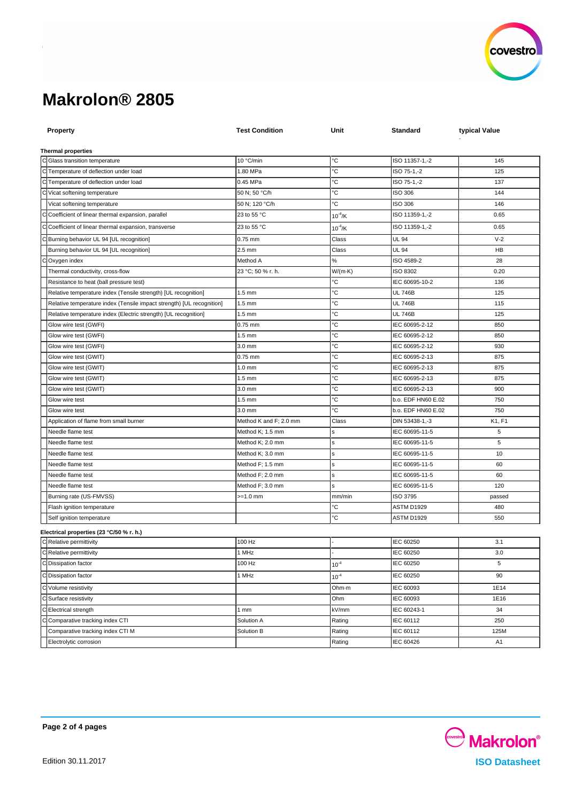

| <b>Property</b>                                                       | <b>Test Condition</b>                | Unit            | Standard                                 | typical Value  |
|-----------------------------------------------------------------------|--------------------------------------|-----------------|------------------------------------------|----------------|
|                                                                       |                                      |                 |                                          |                |
| <b>Thermal properties</b>                                             |                                      |                 |                                          |                |
| C Glass transition temperature                                        | 10 °C/min                            | °C              | ISO 11357-1,-2                           | 145            |
| C Temperature of deflection under load                                | 1.80 MPa                             | °C              | ISO 75-1,-2                              | 125            |
| C Temperature of deflection under load                                | 0.45 MPa                             | °C              | ISO 75-1,-2                              | 137            |
| Vicat softening temperature                                           | 50 N; 50 °C/h                        | °C              | ISO 306                                  | 144            |
| Vicat softening temperature                                           | 50 N; 120 °C/h                       | °C              | <b>ISO 306</b>                           | 146            |
| Coefficient of linear thermal expansion, parallel                     | 23 to 55 °C                          | $10^{-4}$ /K    | ISO 11359-1,-2                           | 0.65           |
| Coefficient of linear thermal expansion, transverse                   | 23 to 55 °C                          | $10^{-4}$ /K    | ISO 11359-1,-2                           | 0.65           |
| Burning behavior UL 94 [UL recognition]                               | $0.75$ mm                            | Class           | UL 94                                    | $V-2$          |
| Burning behavior UL 94 [UL recognition]                               | $2.5$ mm                             | Class           | <b>UL 94</b>                             | HB             |
| Oxygen index                                                          | Method A                             | ℅               | ISO 4589-2                               | 28             |
| Thermal conductivity, cross-flow                                      | 23 °C; 50 % r. h.                    | $W/(m \cdot K)$ | ISO 8302                                 | 0.20           |
| Resistance to heat (ball pressure test)                               |                                      | °С              | IEC 60695-10-2                           | 136            |
| Relative temperature index (Tensile strength) [UL recognition]        | $1.5 \text{ mm}$                     | °С              | <b>UL 746B</b>                           | 125            |
| Relative temperature index (Tensile impact strength) [UL recognition] | $1.5 \text{ mm}$                     | °C              | <b>UL 746B</b>                           | 115            |
| Relative temperature index (Electric strength) [UL recognition]       | $1.5 \text{ mm}$                     | °C              | <b>UL 746B</b>                           | 125            |
| Glow wire test (GWFI)                                                 | 0.75 mm                              | °С              | IEC 60695-2-12                           | 850            |
| Glow wire test (GWFI)                                                 | $1.5 \text{ mm}$                     | °C              | IEC 60695-2-12                           | 850            |
| Glow wire test (GWFI)                                                 | 3.0 mm                               | ℃               | IEC 60695-2-12                           | 930            |
| Glow wire test (GWIT)                                                 | 0.75 mm                              | °C              | IEC 60695-2-13                           | 875            |
| Glow wire test (GWIT)                                                 | $1.0 \text{ mm}$                     | °C              | IEC 60695-2-13                           | 875            |
| Glow wire test (GWIT)                                                 | $1.5 \text{ mm}$                     | °C              | IEC 60695-2-13                           | 875            |
| Glow wire test (GWIT)                                                 | 3.0 mm                               | °C<br>°С        | IEC 60695-2-13                           | 900            |
| Glow wire test<br>Glow wire test                                      | $1.5 \text{ mm}$<br>$3.0 \text{ mm}$ | ъc              | b.o. EDF HN60 E.02<br>b.o. EDF HN60 E.02 | 750<br>750     |
| Application of flame from small burner                                | Method K and F; 2.0 mm               | Class           | DIN 53438-1,-3                           | K1, F1         |
| Needle flame test                                                     | Method K; 1.5 mm                     |                 | IEC 60695-11-5                           | 5              |
| Needle flame test                                                     | Method K; 2.0 mm                     | s               | IEC 60695-11-5                           | 5              |
| Needle flame test                                                     | Method K; 3.0 mm                     | s               | IEC 60695-11-5                           | 10             |
| Needle flame test                                                     | Method F; 1.5 mm                     | s               | IEC 60695-11-5                           | 60             |
| Needle flame test                                                     | Method F; 2.0 mm                     | s               | IEC 60695-11-5                           | 60             |
| Needle flame test                                                     | Method F; 3.0 mm                     | s               | IEC 60695-11-5                           | 120            |
| Burning rate (US-FMVSS)                                               | >=1.0 mm                             | mm/min          | ISO 3795                                 | passed         |
| Flash ignition temperature                                            |                                      | °C              | ASTM D1929                               | 480            |
| Self ignition temperature                                             |                                      | °C              | ASTM D1929                               | 550            |
|                                                                       |                                      |                 |                                          |                |
| Electrical properties (23 °C/50 % r. h.)<br>C Relative permittivity   | 100 Hz                               |                 | IEC 60250                                | 3.1            |
| C Relative permittivity                                               | 1 MHz                                |                 | IEC 60250                                | 3.0            |
| C Dissipation factor                                                  | 100 Hz                               | $10^{-4}$       | IEC 60250                                | 5              |
|                                                                       |                                      |                 |                                          | 90             |
| C Dissipation factor                                                  | 1 MHz                                | $10^{-4}$       | IEC 60250                                |                |
| C Volume resistivity                                                  |                                      | Ohm-m           | IEC 60093                                | 1E14           |
| C Surface resistivity                                                 |                                      | Ohm             | IEC 60093                                | 1E16           |
| C Electrical strength                                                 | 1mm                                  | kV/mm           | IEC 60243-1                              | 34             |
| Comparative tracking index CTI                                        | Solution A                           | Rating          | IEC 60112                                | 250            |
| Comparative tracking index CTI M                                      | Solution B                           | Rating          | IEC 60112                                | 125M           |
| Electrolytic corrosion                                                |                                      | Rating          | IEC 60426                                | A <sub>1</sub> |



**Page 2 of 4 pages**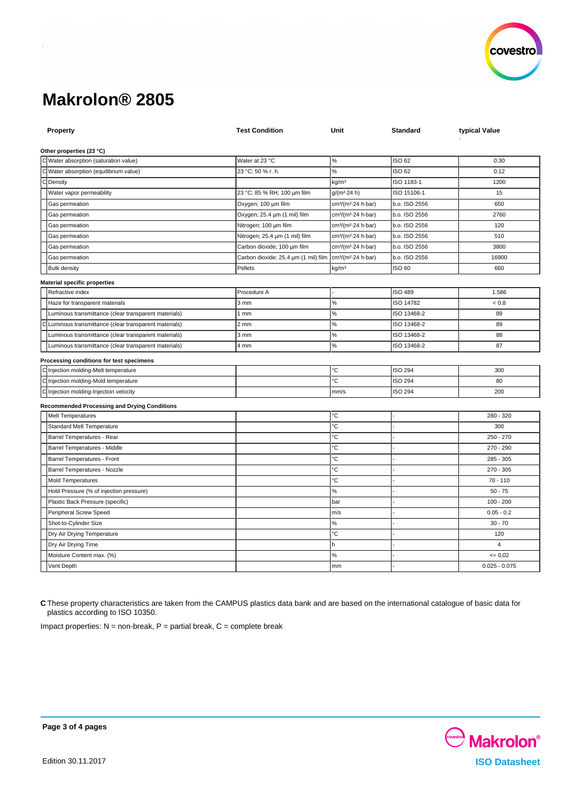

| <b>Property</b>                                        | <b>Test Condition</b>                | Unit                                        | Standard       | typical Value   |
|--------------------------------------------------------|--------------------------------------|---------------------------------------------|----------------|-----------------|
| Other properties (23 °C)                               |                                      |                                             |                |                 |
| C Water absorption (saturation value)                  | Water at 23 °C                       | $\%$                                        | ISO 62         | 0.30            |
| C Water absorption (equilibrium value)                 | 23 °C; 50 % r. h.                    | $\%$                                        | ISO 62         | 0.12            |
| C Density                                              |                                      | kg/m <sup>3</sup>                           | ISO 1183-1     | 1200            |
| Water vapor permeability                               | 23 °C; 85 % RH; 100 µm film          | $g/(m^2.24 h)$                              | ISO 15106-1    | 15              |
| Gas permeation                                         | Oxygen; 100 um film                  | cm <sup>3</sup> /(m <sup>2</sup> -24 h-bar) | b.o. ISO 2556  | 650             |
| Gas permeation                                         | Oxygen; 25.4 µm (1 mil) film         | cm <sup>3</sup> /(m <sup>2</sup> -24 h-bar) | b.o. ISO 2556  | 2760            |
| Gas permeation                                         | Nitrogen; 100 µm film                | cm <sup>3</sup> /(m <sup>2</sup> -24 h-bar) | b.o. ISO 2556  | 120             |
| Gas permeation                                         | Nitrogen; 25.4 µm (1 mil) film       | cm <sup>3</sup> /(m <sup>2</sup> -24 h-bar) | b.o. ISO 2556  | 510             |
| Gas permeation                                         | Carbon dioxide; 100 um film          | cm <sup>3</sup> /(m <sup>2</sup> -24 h-bar) | b.o. ISO 2556  | 3800            |
| Gas permeation                                         | Carbon dioxide; 25.4 um (1 mil) film | cm <sup>3</sup> /(m <sup>2</sup> 24 h bar)  | b.o. ISO 2556  | 16900           |
| <b>Bulk density</b>                                    | Pellets                              | kg/m <sup>3</sup>                           | ISO 60         | 660             |
| <b>Material specific properties</b>                    |                                      |                                             |                |                 |
| Refractive index                                       | Procedure A                          |                                             | <b>ISO 489</b> | 1.586           |
| Haze for transparent materials                         | $3 \text{ mm}$                       | $\%$                                        | ISO 14782      | $< 0.8$         |
| Luminous transmittance (clear transparent materials)   | 1mm                                  | $\%$                                        | ISO 13468-2    | 89              |
| C Luminous transmittance (clear transparent materials) | 2 mm                                 | $\%$                                        | ISO 13468-2    | 89              |
| Luminous transmittance (clear transparent materials)   | 3 mm                                 | $\%$                                        | ISO 13468-2    | 88              |
| Luminous transmittance (clear transparent materials)   | 4 mm                                 | $\%$                                        | ISO 13468-2    | 87              |
| Processing conditions for test specimens               |                                      |                                             |                |                 |
| C Injection molding-Melt temperature                   |                                      | °C                                          | <b>ISO 294</b> | 300             |
| C Injection molding-Mold temperature                   |                                      | °C                                          | <b>ISO 294</b> | 80              |
| C Injection molding-Injection velocity                 |                                      | mm/s                                        | <b>ISO 294</b> | 200             |
| <b>Recommended Processing and Drying Conditions</b>    |                                      |                                             |                |                 |
| <b>Melt Temperatures</b>                               |                                      | ۰C                                          |                | 280 - 320       |
| Standard Melt Temperature                              |                                      | °C                                          |                | 300             |
| Barrel Temperatures - Rear                             |                                      | °C                                          |                | $250 - 270$     |
| Barrel Temperatures - Middle                           |                                      | °C                                          |                | 270 - 290       |
| Barrel Temperatures - Front                            |                                      | °C                                          |                | $285 - 305$     |
| Barrel Temperatures - Nozzle                           |                                      | ۰C                                          |                | 270 - 305       |
| <b>Mold Temperatures</b>                               |                                      | °C                                          |                | $70 - 110$      |
| Hold Pressure (% of injection pressure)                |                                      | $\%$                                        |                | $50 - 75$       |
| Plastic Back Pressure (specific)                       |                                      | bar                                         |                | $100 - 200$     |
| Peripheral Screw Speed                                 |                                      | m/s                                         |                | $0.05 - 0.2$    |
| Shot-to-Cylinder Size                                  |                                      | $\%$                                        |                | $30 - 70$       |
| Dry Air Drying Temperature                             |                                      | ℃                                           |                | 120             |
| Dry Air Drying Time                                    |                                      | h                                           |                | $\overline{4}$  |
| Moisture Content max. (%)                              |                                      | $\%$                                        |                | $= 0.02$        |
| Vent Depth                                             |                                      | mm                                          |                | $0.025 - 0.075$ |

**C** These property characteristics are taken from the CAMPUS plastics data bank and are based on the international catalogue of basic data for plastics according to ISO 10350.

Impact properties:  $N =$  non-break,  $P =$  partial break,  $C =$  complete break



**Page 3 of 4 pages**